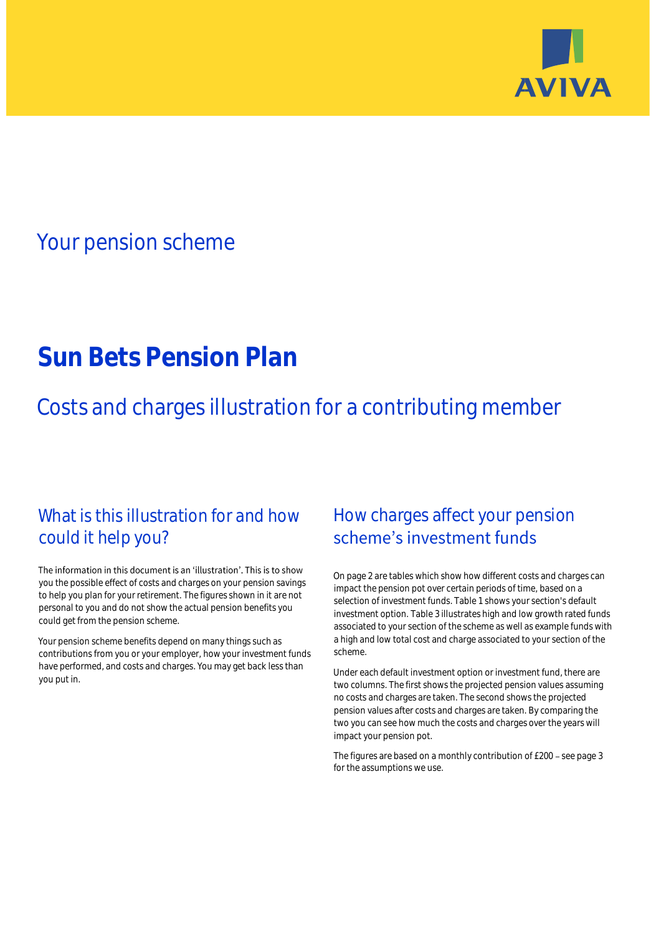

## Your pension scheme

# **Sun Bets Pension Plan**

Costs and charges illustration for a contributing member

## What is this illustration for and how could it help you?

#### The information in this document is an 'illustration'. This is to show you the possible effect of costs and charges on your pension savings to help you plan for your retirement. The figures shown in it are not personal to you and do not show the actual pension benefits you could get from the pension scheme.

Your pension scheme benefits depend on many things such as contributions from you or your employer, how your investment funds have performed, and costs and charges. You may get back less than you put in.

## How charges affect your pension scheme's investment funds

On page 2 are tables which show how different costs and charges can impact the pension pot over certain periods of time, based on a selection of investment funds. Table 1 shows your section's default investment option. Table 3 illustrates high and low growth rated funds associated to your section of the scheme as well as example funds with a high and low total cost and charge associated to your section of the scheme.

Under each default investment option or investment fund, there are two columns. The first shows the projected pension values assuming no costs and charges are taken. The second shows the projected pension values after costs and charges are taken. By comparing the two you can see how much the costs and charges over the years will impact your pension pot.

The figures are based on a monthly contribution of £200 - see page 3 for the assumptions we use.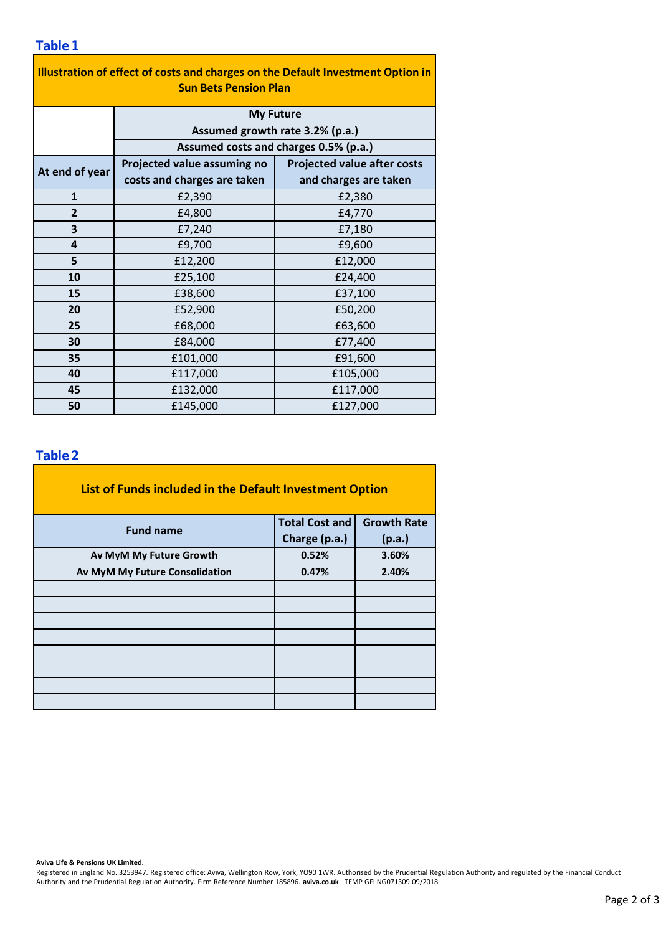| Illustration of effect of costs and charges on the Default Investment Option in |                                                                          |                                    |  |  |  |  |  |
|---------------------------------------------------------------------------------|--------------------------------------------------------------------------|------------------------------------|--|--|--|--|--|
| <b>Sun Bets Pension Plan</b>                                                    |                                                                          |                                    |  |  |  |  |  |
|                                                                                 | <b>My Future</b>                                                         |                                    |  |  |  |  |  |
|                                                                                 | Assumed growth rate 3.2% (p.a.)<br>Assumed costs and charges 0.5% (p.a.) |                                    |  |  |  |  |  |
|                                                                                 |                                                                          |                                    |  |  |  |  |  |
| At end of year                                                                  | Projected value assuming no                                              | <b>Projected value after costs</b> |  |  |  |  |  |
|                                                                                 | costs and charges are taken                                              | and charges are taken              |  |  |  |  |  |
| $\mathbf{1}$                                                                    | £2,390                                                                   | £2,380                             |  |  |  |  |  |
| $\overline{2}$                                                                  | £4,800                                                                   | £4,770                             |  |  |  |  |  |
| 3                                                                               | £7,240                                                                   | £7,180                             |  |  |  |  |  |
| 4                                                                               | £9,700                                                                   | £9,600                             |  |  |  |  |  |
| 5                                                                               | £12,200                                                                  | £12,000                            |  |  |  |  |  |
| 10                                                                              | £25,100                                                                  | £24,400                            |  |  |  |  |  |
| 15                                                                              | £38,600                                                                  | £37,100                            |  |  |  |  |  |
| 20                                                                              | £52,900                                                                  | £50,200                            |  |  |  |  |  |
| 25                                                                              | £68,000                                                                  | £63,600                            |  |  |  |  |  |
| 30                                                                              | £84,000                                                                  | £77,400                            |  |  |  |  |  |
| 35                                                                              | £101,000                                                                 | £91,600                            |  |  |  |  |  |
| 40                                                                              | £117,000                                                                 | £105,000                           |  |  |  |  |  |
| 45                                                                              | £132,000                                                                 | £117,000                           |  |  |  |  |  |
| 50                                                                              | £145,000                                                                 | £127,000                           |  |  |  |  |  |

#### **Table 2**

| List of Funds included in the Default Investment Option |                       |                    |
|---------------------------------------------------------|-----------------------|--------------------|
| <b>Fund name</b>                                        | <b>Total Cost and</b> | <b>Growth Rate</b> |
|                                                         | Charge (p.a.)         | (p.a.)             |
| Av MyM My Future Growth                                 | 0.52%                 | 3.60%              |
| Av MyM My Future Consolidation                          | 0.47%                 | 2.40%              |
|                                                         |                       |                    |
|                                                         |                       |                    |
|                                                         |                       |                    |
|                                                         |                       |                    |
|                                                         |                       |                    |
|                                                         |                       |                    |
|                                                         |                       |                    |
|                                                         |                       |                    |

**Aviva Life & Pensions UK Limited.**

Registered in England No. 3253947. Registered office: Aviva, Wellington Row, York, YO90 1WR. Authorised by the Prudential Regulation Authority and regulated by the Financial Conduct Authority and the Prudential Regulation Authority. Firm Reference Number 185896. **aviva.co.uk** TEMP GFI NG071309 09/2018